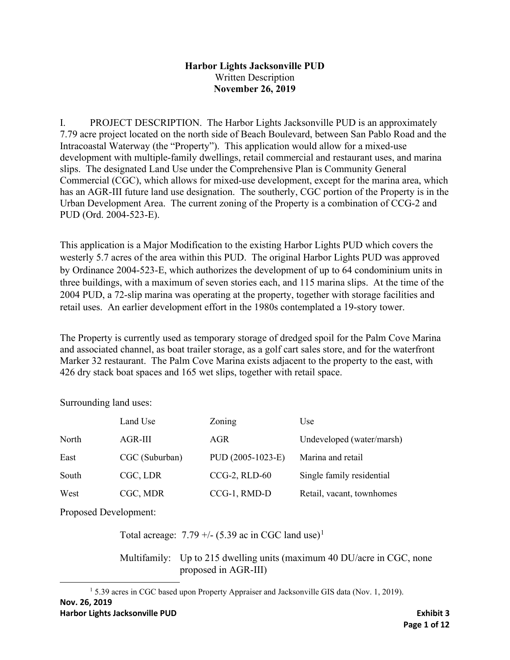### **Harbor Lights Jacksonville PUD** Written Description **November 26, 2019**

I. PROJECT DESCRIPTION. The Harbor Lights Jacksonville PUD is an approximately 7.79 acre project located on the north side of Beach Boulevard, between San Pablo Road and the Intracoastal Waterway (the "Property"). This application would allow for a mixed-use development with multiple-family dwellings, retail commercial and restaurant uses, and marina slips. The designated Land Use under the Comprehensive Plan is Community General Commercial (CGC), which allows for mixed-use development, except for the marina area, which has an AGR-III future land use designation. The southerly, CGC portion of the Property is in the Urban Development Area. The current zoning of the Property is a combination of CCG-2 and PUD (Ord. 2004-523-E).

This application is a Major Modification to the existing Harbor Lights PUD which covers the westerly 5.7 acres of the area within this PUD. The original Harbor Lights PUD was approved by Ordinance 2004-523-E, which authorizes the development of up to 64 condominium units in three buildings, with a maximum of seven stories each, and 115 marina slips. At the time of the 2004 PUD, a 72-slip marina was operating at the property, together with storage facilities and retail uses. An earlier development effort in the 1980s contemplated a 19-story tower.

The Property is currently used as temporary storage of dredged spoil for the Palm Cove Marina and associated channel, as boat trailer storage, as a golf cart sales store, and for the waterfront Marker 32 restaurant. The Palm Cove Marina exists adjacent to the property to the east, with 426 dry stack boat spaces and 165 wet slips, together with retail space.

Surrounding land uses:

|       | Land Use       | Zoning            | Use                       |
|-------|----------------|-------------------|---------------------------|
| North | $AGR-III$      | AGR               | Undeveloped (water/marsh) |
| East  | CGC (Suburban) | PUD (2005-1023-E) | Marina and retail         |
| South | CGC, LDR       | $CCG-2$ , RLD-60  | Single family residential |
| West  | CGC, MDR       | CCG-1, RMD-D      | Retail, vacant, townhomes |

Proposed Development:

Total acreage:  $7.79 + (-15.39)$  $7.79 + (-15.39)$  $7.79 + (-15.39)$  ac in CGC land use)<sup>1</sup>

Multifamily: Up to 215 dwelling units (maximum 40 DU/acre in CGC, none proposed in AGR-III)

<span id="page-0-0"></span>**Nov. 26, 2019** <sup>1</sup> 5.39 acres in CGC based upon Property Appraiser and Jacksonville GIS data (Nov. 1, 2019).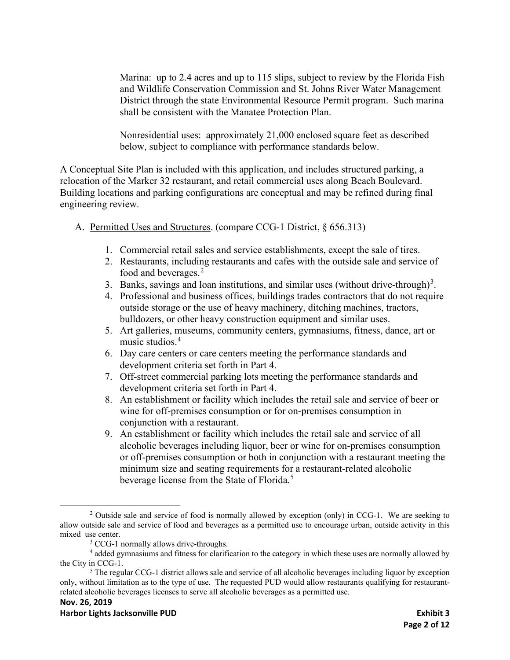Marina: up to 2.4 acres and up to 115 slips, subject to review by the Florida Fish and Wildlife Conservation Commission and St. Johns River Water Management District through the state Environmental Resource Permit program. Such marina shall be consistent with the Manatee Protection Plan.

Nonresidential uses: approximately 21,000 enclosed square feet as described below, subject to compliance with performance standards below.

A Conceptual Site Plan is included with this application, and includes structured parking, a relocation of the Marker 32 restaurant, and retail commercial uses along Beach Boulevard. Building locations and parking configurations are conceptual and may be refined during final engineering review.

- A. Permitted Uses and Structures. (compare CCG-1 District, § 656.313)
	- 1. Commercial retail sales and service establishments, except the sale of tires.
	- 2. Restaurants, including restaurants and cafes with the outside sale and service of food and beverages.<sup>[2](#page-1-0)</sup>
	- [3](#page-1-1). Banks, savings and loan institutions, and similar uses (without drive-through)<sup>3</sup>.
	- 4. Professional and business offices, buildings trades contractors that do not require outside storage or the use of heavy machinery, ditching machines, tractors, bulldozers, or other heavy construction equipment and similar uses.
	- 5. Art galleries, museums, community centers, gymnasiums, fitness, dance, art or music studios.[4](#page-1-2)
	- 6. Day care centers or care centers meeting the performance standards and development criteria set forth in Part 4.
	- 7. Off-street commercial parking lots meeting the performance standards and development criteria set forth in Part 4.
	- 8. An establishment or facility which includes the retail sale and service of beer or wine for off-premises consumption or for on-premises consumption in conjunction with a restaurant.
	- 9. An establishment or facility which includes the retail sale and service of all alcoholic beverages including liquor, beer or wine for on-premises consumption or off-premises consumption or both in conjunction with a restaurant meeting the minimum size and seating requirements for a restaurant-related alcoholic beverage license from the State of Florida.<sup>[5](#page-1-3)</sup>

<span id="page-1-0"></span><sup>&</sup>lt;sup>2</sup> Outside sale and service of food is normally allowed by exception (only) in CCG-1. We are seeking to allow outside sale and service of food and beverages as a permitted use to encourage urban, outside activity in this mixed use center.

<sup>&</sup>lt;sup>3</sup> CCG-1 normally allows drive-throughs.

<span id="page-1-2"></span><span id="page-1-1"></span><sup>4</sup> added gymnasiums and fitness for clarification to the category in which these uses are normally allowed by the City in CCG-1.

<span id="page-1-3"></span><sup>&</sup>lt;sup>5</sup> The regular CCG-1 district allows sale and service of all alcoholic beverages including liquor by exception only, without limitation as to the type of use. The requested PUD would allow restaurants qualifying for restaurantrelated alcoholic beverages licenses to serve all alcoholic beverages as a permitted use.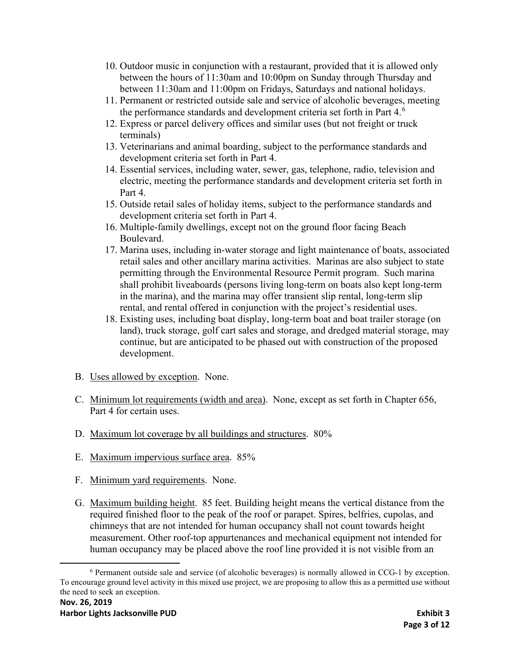- 10. Outdoor music in conjunction with a restaurant, provided that it is allowed only between the hours of 11:30am and 10:00pm on Sunday through Thursday and between 11:30am and 11:00pm on Fridays, Saturdays and national holidays.
- 11. Permanent or restricted outside sale and service of alcoholic beverages, meeting the performance standards and development criteria set forth in Part 4.<sup>[6](#page-2-0)</sup>
- 12. Express or parcel delivery offices and similar uses (but not freight or truck terminals)
- 13. Veterinarians and animal boarding, subject to the performance standards and development criteria set forth in Part 4.
- 14. Essential services, including water, sewer, gas, telephone, radio, television and electric, meeting the performance standards and development criteria set forth in Part 4.
- 15. Outside retail sales of holiday items, subject to the performance standards and development criteria set forth in Part 4.
- 16. Multiple-family dwellings, except not on the ground floor facing Beach Boulevard.
- 17. Marina uses, including in-water storage and light maintenance of boats, associated retail sales and other ancillary marina activities. Marinas are also subject to state permitting through the Environmental Resource Permit program. Such marina shall prohibit liveaboards (persons living long-term on boats also kept long-term in the marina), and the marina may offer transient slip rental, long-term slip rental, and rental offered in conjunction with the project's residential uses.
- 18. Existing uses, including boat display, long-term boat and boat trailer storage (on land), truck storage, golf cart sales and storage, and dredged material storage, may continue, but are anticipated to be phased out with construction of the proposed development.
- B. Uses allowed by exception. None.
- C. Minimum lot requirements (width and area). None, except as set forth in Chapter 656, Part 4 for certain uses.
- D. Maximum lot coverage by all buildings and structures. 80%
- E. Maximum impervious surface area. 85%
- F. Minimum yard requirements. None.
- G. Maximum building height. 85 feet. Building height means the vertical distance from the required finished floor to the peak of the roof or parapet. Spires, belfries, cupolas, and chimneys that are not intended for human occupancy shall not count towards height measurement. Other roof-top appurtenances and mechanical equipment not intended for human occupancy may be placed above the roof line provided it is not visible from an

<span id="page-2-0"></span><sup>6</sup> Permanent outside sale and service (of alcoholic beverages) is normally allowed in CCG-1 by exception. To encourage ground level activity in this mixed use project, we are proposing to allow this as a permitted use without the need to seek an exception.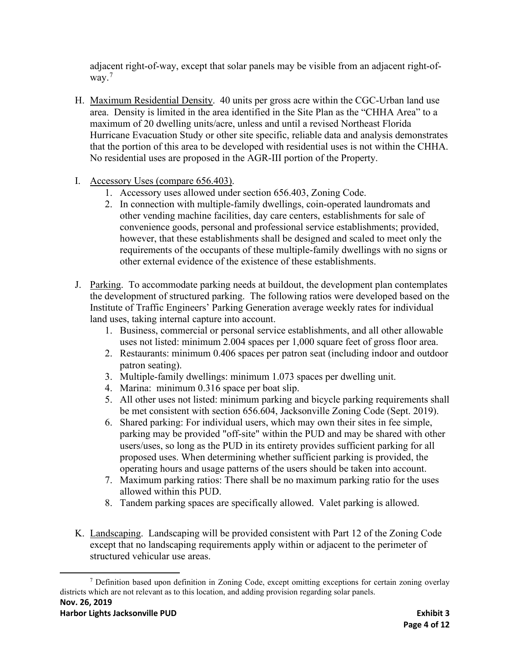adjacent right-of-way, except that solar panels may be visible from an adjacent right-ofway. [7](#page-3-0)

- H. Maximum Residential Density. 40 units per gross acre within the CGC-Urban land use area. Density is limited in the area identified in the Site Plan as the "CHHA Area" to a maximum of 20 dwelling units/acre, unless and until a revised Northeast Florida Hurricane Evacuation Study or other site specific, reliable data and analysis demonstrates that the portion of this area to be developed with residential uses is not within the CHHA. No residential uses are proposed in the AGR-III portion of the Property.
- I. Accessory Uses (compare 656.403).
	- 1. Accessory uses allowed under section 656.403, Zoning Code.
	- 2. In connection with multiple-family dwellings, coin-operated laundromats and other vending machine facilities, day care centers, establishments for sale of convenience goods, personal and professional service establishments; provided, however, that these establishments shall be designed and scaled to meet only the requirements of the occupants of these multiple-family dwellings with no signs or other external evidence of the existence of these establishments.
- J. Parking. To accommodate parking needs at buildout, the development plan contemplates the development of structured parking. The following ratios were developed based on the Institute of Traffic Engineers' Parking Generation average weekly rates for individual land uses, taking internal capture into account.
	- 1. Business, commercial or personal service establishments, and all other allowable uses not listed: minimum 2.004 spaces per 1,000 square feet of gross floor area.
	- 2. Restaurants: minimum 0.406 spaces per patron seat (including indoor and outdoor patron seating).
	- 3. Multiple-family dwellings: minimum 1.073 spaces per dwelling unit.
	- 4. Marina: minimum 0.316 space per boat slip.
	- 5. All other uses not listed: minimum parking and bicycle parking requirements shall be met consistent with section 656.604, Jacksonville Zoning Code (Sept. 2019).
	- 6. Shared parking: For individual users, which may own their sites in fee simple, parking may be provided "off-site" within the PUD and may be shared with other users/uses, so long as the PUD in its entirety provides sufficient parking for all proposed uses. When determining whether sufficient parking is provided, the operating hours and usage patterns of the users should be taken into account.
	- 7. Maximum parking ratios: There shall be no maximum parking ratio for the uses allowed within this PUD.
	- 8. Tandem parking spaces are specifically allowed. Valet parking is allowed.
- K. Landscaping. Landscaping will be provided consistent with Part 12 of the Zoning Code except that no landscaping requirements apply within or adjacent to the perimeter of structured vehicular use areas.

<span id="page-3-0"></span>**Nov. 26, 2019** <sup>7</sup> Definition based upon definition in Zoning Code, except omitting exceptions for certain zoning overlay districts which are not relevant as to this location, and adding provision regarding solar panels.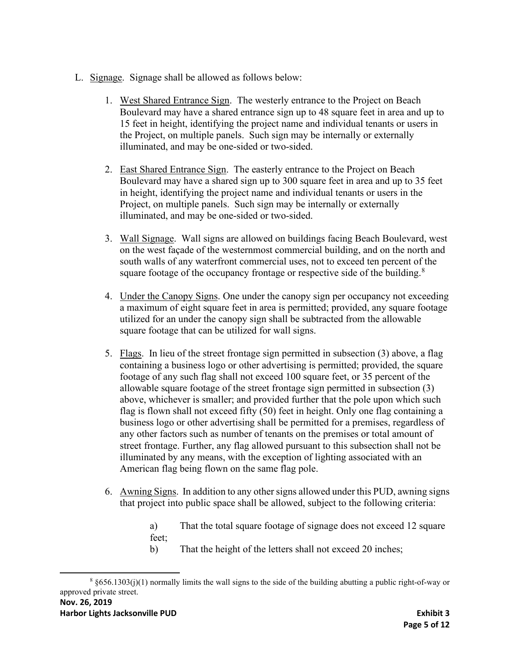- L. Signage. Signage shall be allowed as follows below:
	- 1. West Shared Entrance Sign. The westerly entrance to the Project on Beach Boulevard may have a shared entrance sign up to 48 square feet in area and up to 15 feet in height, identifying the project name and individual tenants or users in the Project, on multiple panels. Such sign may be internally or externally illuminated, and may be one-sided or two-sided.
	- 2. East Shared Entrance Sign. The easterly entrance to the Project on Beach Boulevard may have a shared sign up to 300 square feet in area and up to 35 feet in height, identifying the project name and individual tenants or users in the Project, on multiple panels. Such sign may be internally or externally illuminated, and may be one-sided or two-sided.
	- 3. Wall Signage. Wall signs are allowed on buildings facing Beach Boulevard, west on the west façade of the westernmost commercial building, and on the north and south walls of any waterfront commercial uses, not to exceed ten percent of the square footage of the occupancy frontage or respective side of the building.<sup>[8](#page-4-0)</sup>
	- 4. Under the Canopy Signs. One under the canopy sign per occupancy not exceeding a maximum of eight square feet in area is permitted; provided, any square footage utilized for an under the canopy sign shall be subtracted from the allowable square footage that can be utilized for wall signs.
	- 5. Flags. In lieu of the street frontage sign permitted in subsection (3) above, a flag containing a business logo or other advertising is permitted; provided, the square footage of any such flag shall not exceed 100 square feet, or 35 percent of the allowable square footage of the street frontage sign permitted in subsection (3) above, whichever is smaller; and provided further that the pole upon which such flag is flown shall not exceed fifty (50) feet in height. Only one flag containing a business logo or other advertising shall be permitted for a premises, regardless of any other factors such as number of tenants on the premises or total amount of street frontage. Further, any flag allowed pursuant to this subsection shall not be illuminated by any means, with the exception of lighting associated with an American flag being flown on the same flag pole.
	- 6. Awning Signs. In addition to any other signs allowed under this PUD, awning signs that project into public space shall be allowed, subject to the following criteria:

a) That the total square footage of signage does not exceed 12 square feet;

b) That the height of the letters shall not exceed 20 inches;

<span id="page-4-0"></span>**Nov. 26, 2019**  $8$  §656.1303(j)(1) normally limits the wall signs to the side of the building abutting a public right-of-way or approved private street.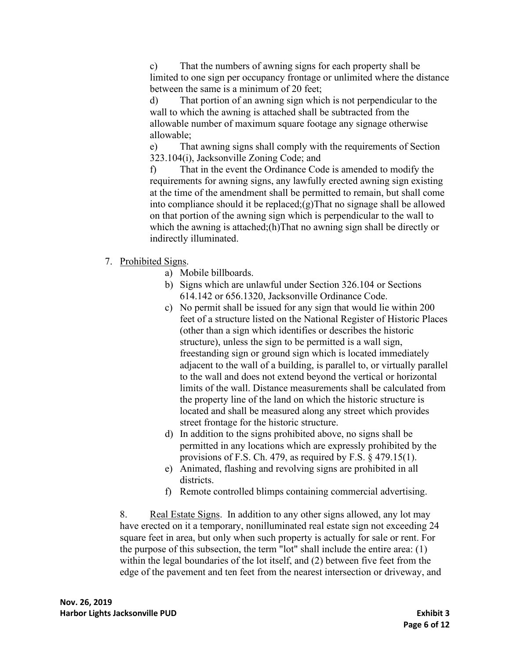c) That the numbers of awning signs for each property shall be limited to one sign per occupancy frontage or unlimited where the distance between the same is a minimum of 20 feet;

d) That portion of an awning sign which is not perpendicular to the wall to which the awning is attached shall be subtracted from the allowable number of maximum square footage any signage otherwise allowable;

e) That awning signs shall comply with the requirements of Section 323.104(i), Jacksonville Zoning Code; and

f) That in the event the Ordinance Code is amended to modify the requirements for awning signs, any lawfully erected awning sign existing at the time of the amendment shall be permitted to remain, but shall come into compliance should it be replaced;(g)That no signage shall be allowed on that portion of the awning sign which is perpendicular to the wall to which the awning is attached;(h)That no awning sign shall be directly or indirectly illuminated.

- 7. Prohibited Signs.
	- a) Mobile billboards.
	- b) Signs which are unlawful under Section 326.104 or Sections 614.142 or 656.1320, Jacksonville Ordinance Code.
	- c) No permit shall be issued for any sign that would lie within 200 feet of a structure listed on the National Register of Historic Places (other than a sign which identifies or describes the historic structure), unless the sign to be permitted is a wall sign, freestanding sign or ground sign which is located immediately adjacent to the wall of a building, is parallel to, or virtually parallel to the wall and does not extend beyond the vertical or horizontal limits of the wall. Distance measurements shall be calculated from the property line of the land on which the historic structure is located and shall be measured along any street which provides street frontage for the historic structure.
	- d) In addition to the signs prohibited above, no signs shall be permitted in any locations which are expressly prohibited by the provisions of F.S. Ch. 479, as required by F.S. § 479.15(1).
	- e) Animated, flashing and revolving signs are prohibited in all districts.
	- f) Remote controlled blimps containing commercial advertising.

8. Real Estate Signs. In addition to any other signs allowed, any lot may have erected on it a temporary, nonilluminated real estate sign not exceeding 24 square feet in area, but only when such property is actually for sale or rent. For the purpose of this subsection, the term "lot" shall include the entire area: (1) within the legal boundaries of the lot itself, and (2) between five feet from the edge of the pavement and ten feet from the nearest intersection or driveway, and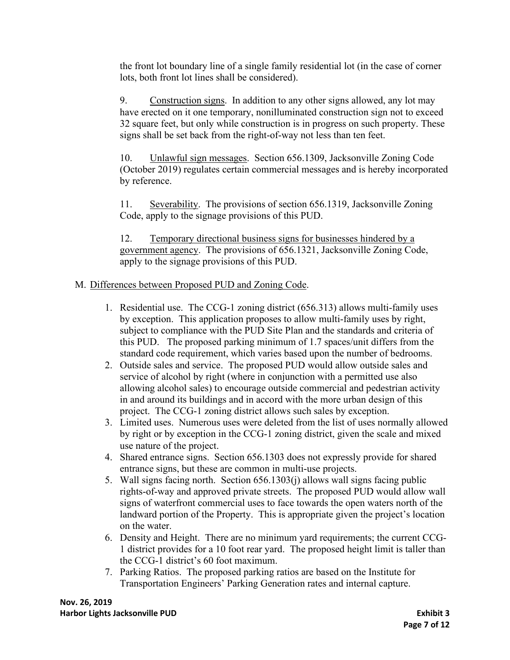the front lot boundary line of a single family residential lot (in the case of corner lots, both front lot lines shall be considered).

9. Construction signs. In addition to any other signs allowed, any lot may have erected on it one temporary, nonilluminated construction sign not to exceed 32 square feet, but only while construction is in progress on such property. These signs shall be set back from the right-of-way not less than ten feet.

10. Unlawful sign messages. Section 656.1309, Jacksonville Zoning Code (October 2019) regulates certain commercial messages and is hereby incorporated by reference.

11. Severability. The provisions of section 656.1319, Jacksonville Zoning Code, apply to the signage provisions of this PUD.

12. Temporary directional business signs for businesses hindered by a government agency. The provisions of 656.1321, Jacksonville Zoning Code, apply to the signage provisions of this PUD.

# M. Differences between Proposed PUD and Zoning Code.

- 1. Residential use. The CCG-1 zoning district (656.313) allows multi-family uses by exception. This application proposes to allow multi-family uses by right, subject to compliance with the PUD Site Plan and the standards and criteria of this PUD. The proposed parking minimum of 1.7 spaces/unit differs from the standard code requirement, which varies based upon the number of bedrooms.
- 2. Outside sales and service. The proposed PUD would allow outside sales and service of alcohol by right (where in conjunction with a permitted use also allowing alcohol sales) to encourage outside commercial and pedestrian activity in and around its buildings and in accord with the more urban design of this project. The CCG-1 zoning district allows such sales by exception.
- 3. Limited uses. Numerous uses were deleted from the list of uses normally allowed by right or by exception in the CCG-1 zoning district, given the scale and mixed use nature of the project.
- 4. Shared entrance signs. Section 656.1303 does not expressly provide for shared entrance signs, but these are common in multi-use projects.
- 5. Wall signs facing north. Section 656.1303(j) allows wall signs facing public rights-of-way and approved private streets. The proposed PUD would allow wall signs of waterfront commercial uses to face towards the open waters north of the landward portion of the Property. This is appropriate given the project's location on the water.
- 6. Density and Height. There are no minimum yard requirements; the current CCG-1 district provides for a 10 foot rear yard. The proposed height limit is taller than the CCG-1 district's 60 foot maximum.
- 7. Parking Ratios. The proposed parking ratios are based on the Institute for Transportation Engineers' Parking Generation rates and internal capture.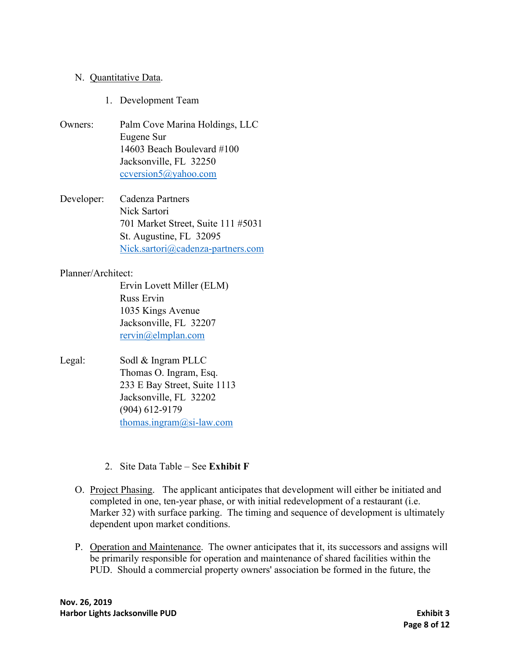#### N. Quantitative Data.

- 1. Development Team
- Owners: Palm Cove Marina Holdings, LLC Eugene Sur 14603 Beach Boulevard #100 Jacksonville, FL 32250 [ccversion5@yahoo.com](mailto:ccversion5@yahoo.com)
- Developer: Cadenza Partners Nick Sartori 701 Market Street, Suite 111 #5031 St. Augustine, FL 32095 [Nick.sartori@cadenza-partners.com](mailto:Nick.sartori@cadenza-partners.com)

#### Planner/Architect:

Ervin Lovett Miller (ELM) Russ Ervin 1035 Kings Avenue Jacksonville, FL 32207 [rervin@elmplan.com](mailto:rervin@elmplan.com)

- Legal: Sodl & Ingram PLLC Thomas O. Ingram, Esq. 233 E Bay Street, Suite 1113 Jacksonville, FL 32202 (904) 612-9179 [thomas.ingram@si-law.com](mailto:thomas.ingram@si-law.com)
	- 2. Site Data Table See **Exhibit F**
	- O. Project Phasing. The applicant anticipates that development will either be initiated and completed in one, ten-year phase, or with initial redevelopment of a restaurant (i.e. Marker 32) with surface parking. The timing and sequence of development is ultimately dependent upon market conditions.
	- P. Operation and Maintenance. The owner anticipates that it, its successors and assigns will be primarily responsible for operation and maintenance of shared facilities within the PUD. Should a commercial property owners' association be formed in the future, the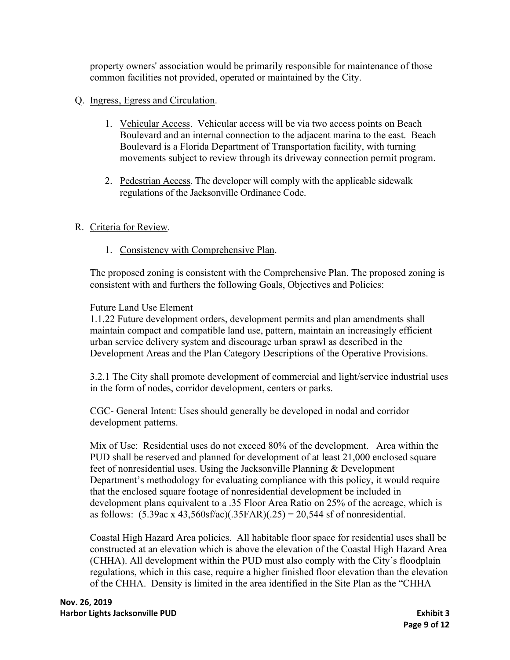property owners' association would be primarily responsible for maintenance of those common facilities not provided, operated or maintained by the City.

- Q. Ingress, Egress and Circulation.
	- 1. Vehicular Access. Vehicular access will be via two access points on Beach Boulevard and an internal connection to the adjacent marina to the east. Beach Boulevard is a Florida Department of Transportation facility, with turning movements subject to review through its driveway connection permit program.
	- 2. Pedestrian Access. The developer will comply with the applicable sidewalk regulations of the Jacksonville Ordinance Code.

## R. Criteria for Review.

1. Consistency with Comprehensive Plan.

The proposed zoning is consistent with the Comprehensive Plan. The proposed zoning is consistent with and furthers the following Goals, Objectives and Policies:

## Future Land Use Element

1.1.22 Future development orders, development permits and plan amendments shall maintain compact and compatible land use, pattern, maintain an increasingly efficient urban service delivery system and discourage urban sprawl as described in the Development Areas and the Plan Category Descriptions of the Operative Provisions.

3.2.1 The City shall promote development of commercial and light/service industrial uses in the form of nodes, corridor development, centers or parks.

CGC- General Intent: Uses should generally be developed in nodal and corridor development patterns.

Mix of Use: Residential uses do not exceed 80% of the development. Area within the PUD shall be reserved and planned for development of at least 21,000 enclosed square feet of nonresidential uses. Using the Jacksonville Planning & Development Department's methodology for evaluating compliance with this policy, it would require that the enclosed square footage of nonresidential development be included in development plans equivalent to a .35 Floor Area Ratio on 25% of the acreage, which is as follows:  $(5.39ac \times 43,560sfac)(.35FAR)(.25) = 20,544 \text{ sf of nonresidental.}$ 

Coastal High Hazard Area policies. All habitable floor space for residential uses shall be constructed at an elevation which is above the elevation of the Coastal High Hazard Area (CHHA). All development within the PUD must also comply with the City's floodplain regulations, which in this case, require a higher finished floor elevation than the elevation of the CHHA. Density is limited in the area identified in the Site Plan as the "CHHA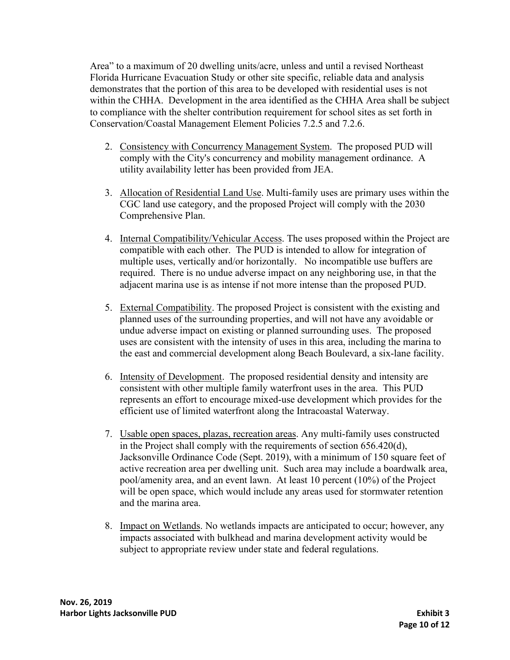Area" to a maximum of 20 dwelling units/acre, unless and until a revised Northeast Florida Hurricane Evacuation Study or other site specific, reliable data and analysis demonstrates that the portion of this area to be developed with residential uses is not within the CHHA. Development in the area identified as the CHHA Area shall be subject to compliance with the shelter contribution requirement for school sites as set forth in Conservation/Coastal Management Element Policies 7.2.5 and 7.2.6.

- 2. Consistency with Concurrency Management System. The proposed PUD will comply with the City's concurrency and mobility management ordinance. A utility availability letter has been provided from JEA.
- 3. Allocation of Residential Land Use. Multi-family uses are primary uses within the CGC land use category, and the proposed Project will comply with the 2030 Comprehensive Plan.
- 4. Internal Compatibility/Vehicular Access. The uses proposed within the Project are compatible with each other. The PUD is intended to allow for integration of multiple uses, vertically and/or horizontally. No incompatible use buffers are required. There is no undue adverse impact on any neighboring use, in that the adjacent marina use is as intense if not more intense than the proposed PUD.
- 5. External Compatibility. The proposed Project is consistent with the existing and planned uses of the surrounding properties, and will not have any avoidable or undue adverse impact on existing or planned surrounding uses. The proposed uses are consistent with the intensity of uses in this area, including the marina to the east and commercial development along Beach Boulevard, a six-lane facility.
- 6. Intensity of Development. The proposed residential density and intensity are consistent with other multiple family waterfront uses in the area. This PUD represents an effort to encourage mixed-use development which provides for the efficient use of limited waterfront along the Intracoastal Waterway.
- 7. Usable open spaces, plazas, recreation areas. Any multi-family uses constructed in the Project shall comply with the requirements of section 656.420(d), Jacksonville Ordinance Code (Sept. 2019), with a minimum of 150 square feet of active recreation area per dwelling unit. Such area may include a boardwalk area, pool/amenity area, and an event lawn. At least 10 percent (10%) of the Project will be open space, which would include any areas used for stormwater retention and the marina area.
- 8. Impact on Wetlands. No wetlands impacts are anticipated to occur; however, any impacts associated with bulkhead and marina development activity would be subject to appropriate review under state and federal regulations.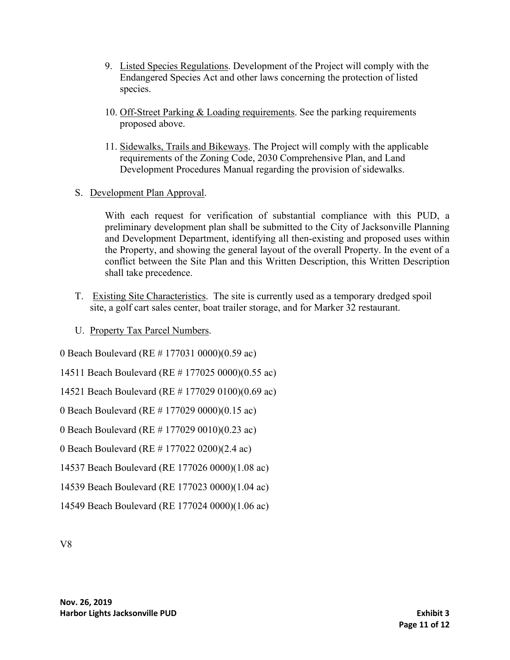- 9. Listed Species Regulations. Development of the Project will comply with the Endangered Species Act and other laws concerning the protection of listed species.
- 10. Off-Street Parking & Loading requirements. See the parking requirements proposed above.
- 11. Sidewalks, Trails and Bikeways. The Project will comply with the applicable requirements of the Zoning Code, 2030 Comprehensive Plan, and Land Development Procedures Manual regarding the provision of sidewalks.
- S. Development Plan Approval.

With each request for verification of substantial compliance with this PUD, a preliminary development plan shall be submitted to the City of Jacksonville Planning and Development Department, identifying all then-existing and proposed uses within the Property, and showing the general layout of the overall Property. In the event of a conflict between the Site Plan and this Written Description, this Written Description shall take precedence.

- T. Existing Site Characteristics. The site is currently used as a temporary dredged spoil site, a golf cart sales center, boat trailer storage, and for Marker 32 restaurant.
- U. Property Tax Parcel Numbers.

0 Beach Boulevard (RE # 177031 0000)(0.59 ac)

14511 Beach Boulevard (RE # 177025 0000)(0.55 ac)

14521 Beach Boulevard (RE # 177029 0100)(0.69 ac)

0 Beach Boulevard (RE # 177029 0000)(0.15 ac)

0 Beach Boulevard (RE # 177029 0010)(0.23 ac)

0 Beach Boulevard (RE # 177022 0200)(2.4 ac)

14537 Beach Boulevard (RE 177026 0000)(1.08 ac)

14539 Beach Boulevard (RE 177023 0000)(1.04 ac)

14549 Beach Boulevard (RE 177024 0000)(1.06 ac)

V8